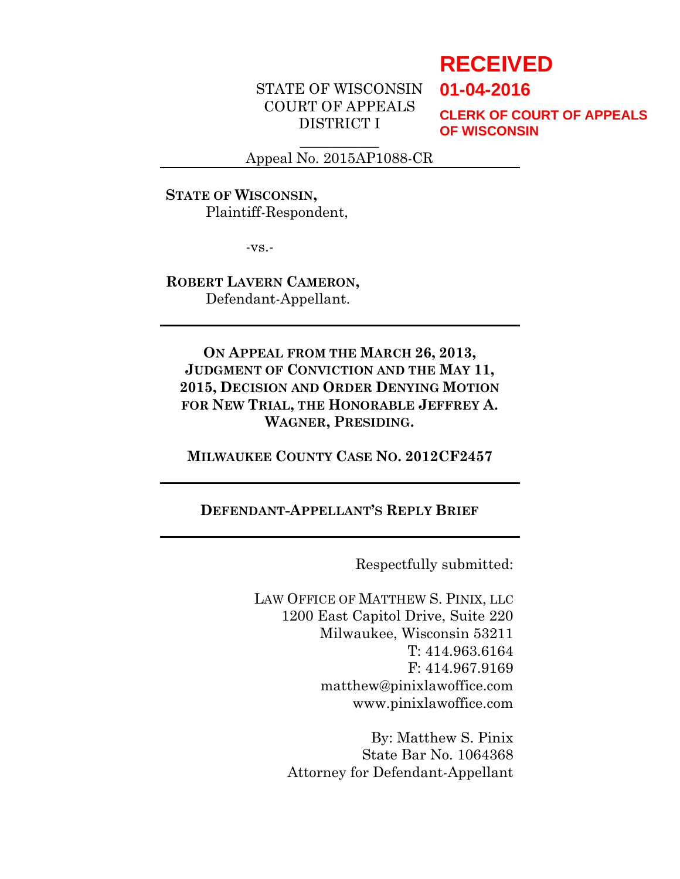# **RECEIVED**

**01-04-2016**

COURT OF APPEALS DISTRICT I

**CLERK OF COURT OF APPEALS OF WISCONSIN**

 $\overline{\phantom{a}}$ Appeal No. 2015AP1088-CR

STATE OF WISCONSIN

**STATE OF WISCONSIN,** Plaintiff-Respondent,

-vs.-

**ROBERT LAVERN CAMERON,** Defendant-Appellant.

**ON APPEAL FROM THE MARCH 26, 2013, JUDGMENT OF CONVICTION AND THE MAY 11, 2015, DECISION AND ORDER DENYING MOTION FOR NEW TRIAL, THE HONORABLE JEFFREY A. WAGNER, PRESIDING.**

**MILWAUKEE COUNTY CASE NO. 2012CF2457**

## **DEFENDANT-APPELLANT'S REPLY BRIEF**

Respectfully submitted:

LAW OFFICE OF MATTHEW S. PINIX, LLC 1200 East Capitol Drive, Suite 220 Milwaukee, Wisconsin 53211 T: 414.963.6164 F: 414.967.9169 matthew@pinixlawoffice.com www.pinixlawoffice.com

> By: Matthew S. Pinix State Bar No. 1064368 Attorney for Defendant-Appellant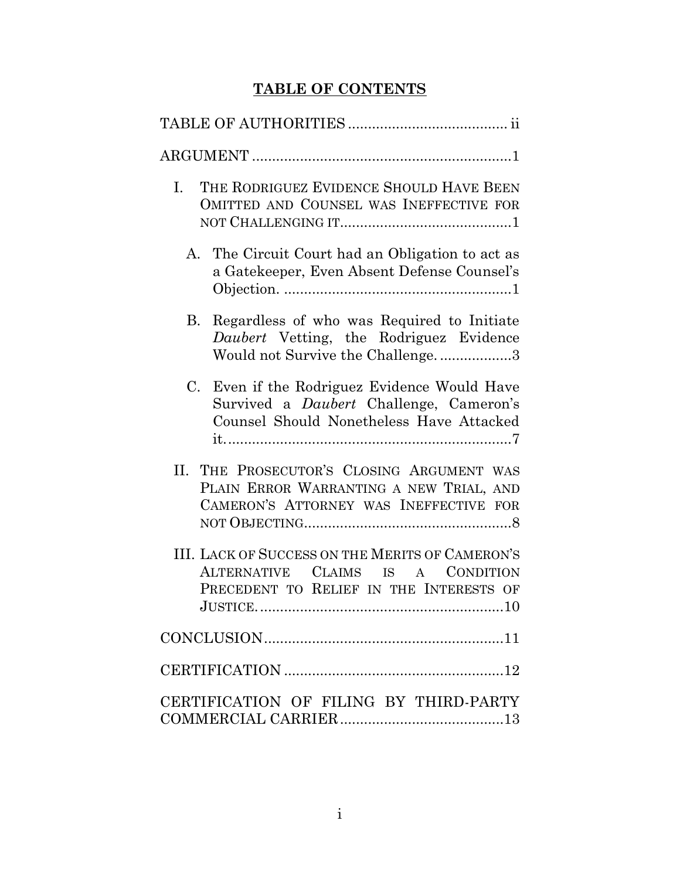## **TABLE OF CONTENTS**

| THE RODRIGUEZ EVIDENCE SHOULD HAVE BEEN<br>$\mathbf{I}$ .<br>OMITTED AND COUNSEL WAS INEFFECTIVE FOR                                                   |
|--------------------------------------------------------------------------------------------------------------------------------------------------------|
| The Circuit Court had an Obligation to act as<br>$A_{\cdot}$<br>a Gatekeeper, Even Absent Defense Counsel's                                            |
| Regardless of who was Required to Initiate<br>В.<br>Daubert Vetting, the Rodriguez Evidence<br>Would not Survive the Challenge3                        |
| Even if the Rodriguez Evidence Would Have<br>$C_{\cdot}$<br>Survived a <i>Daubert</i> Challenge, Cameron's<br>Counsel Should Nonetheless Have Attacked |
| THE PROSECUTOR'S CLOSING ARGUMENT WAS<br>Н.<br>PLAIN ERROR WARRANTING A NEW TRIAL, AND<br>CAMERON'S ATTORNEY WAS INEFFECTIVE FOR                       |
| III. LACK OF SUCCESS ON THE MERITS OF CAMERON'S<br>ALTERNATIVE CLAIMS IS A CONDITION<br>PRECEDENT TO RELIEF IN THE INTERESTS OF<br>JUSTICE.            |
| $\textbf{CONCLUSION}.\textcolor{red}{\textbf{11}} \textbf{1}$                                                                                          |
|                                                                                                                                                        |
| CERTIFICATION OF FILING BY THIRD-PARTY                                                                                                                 |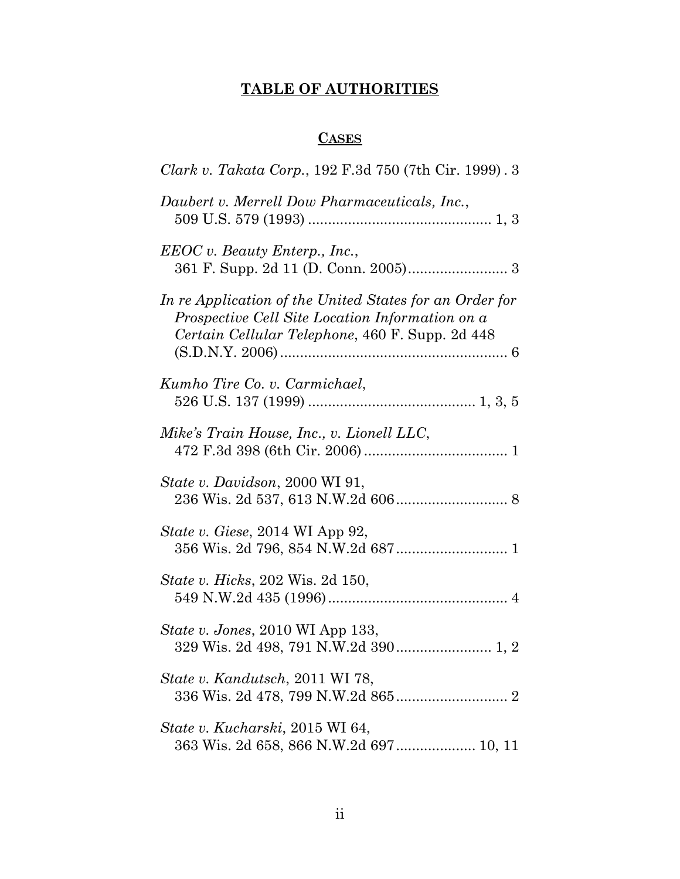## **TABLE OF AUTHORITIES**

## **CASES**

<span id="page-3-0"></span>

| Clark v. Takata Corp., 192 F.3d 750 (7th Cir. 1999). 3                                                                                                        |
|---------------------------------------------------------------------------------------------------------------------------------------------------------------|
| Daubert v. Merrell Dow Pharmaceuticals, Inc.,                                                                                                                 |
| EEOC v. Beauty Enterp., Inc.,                                                                                                                                 |
| In re Application of the United States for an Order for<br>Prospective Cell Site Location Information on a<br>Certain Cellular Telephone, 460 F. Supp. 2d 448 |
| Kumho Tire Co. v. Carmichael,                                                                                                                                 |
| Mike's Train House, Inc., v. Lionell LLC,                                                                                                                     |
| State v. Davidson, 2000 WI 91,                                                                                                                                |
| State v. Giese, 2014 WI App 92,                                                                                                                               |
| <i>State v. Hicks</i> , 202 Wis. 2d 150,                                                                                                                      |
| <i>State v. Jones, 2010</i> WI App 133,                                                                                                                       |
| <i>State v. Kandutsch, 2011 WI 78,</i>                                                                                                                        |
| State v. Kucharski, 2015 WI 64,                                                                                                                               |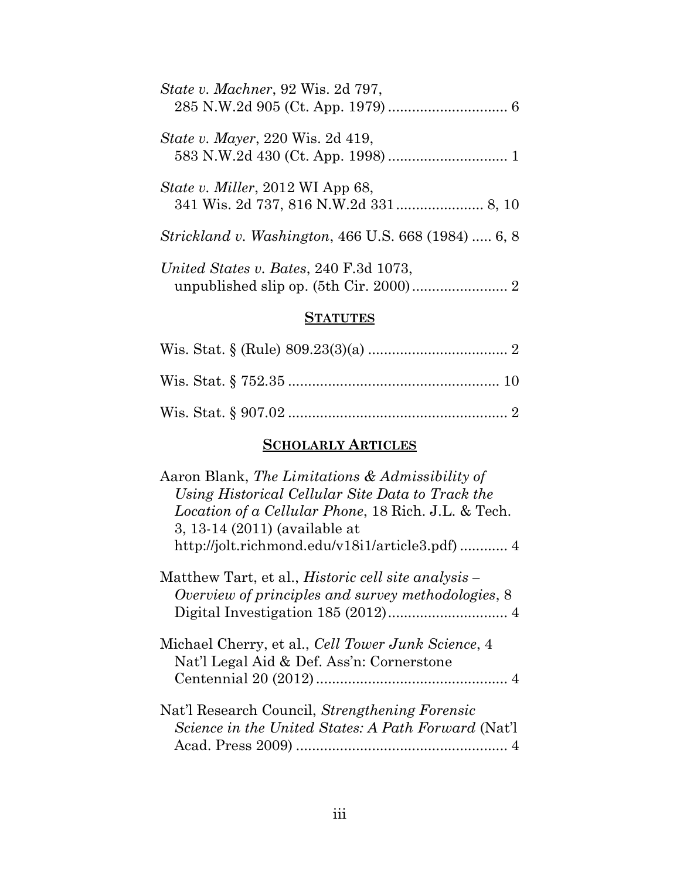| State v. Machner, 92 Wis. 2d 797,                          |
|------------------------------------------------------------|
| <i>State v. Mayer</i> , 220 Wis. 2d 419,                   |
| State v. Miller, 2012 WI App 68,                           |
| <i>Strickland v. Washington, 466 U.S. 668 (1984)  6, 8</i> |
| United States v. Bates, 240 F.3d 1073,                     |
|                                                            |

## **STATUTES**

## **SCHOLARLY ARTICLES**

| Aaron Blank, The Limitations & Admissibility of            |
|------------------------------------------------------------|
| Using Historical Cellular Site Data to Track the           |
| Location of a Cellular Phone, 18 Rich. J.L. & Tech.        |
| 3, 13-14 (2011) (available at                              |
| http://jolt.richmond.edu/v18i1/article3.pdf) 4             |
| Matthew Tart, et al., <i>Historic cell site analysis</i> – |
| Overview of principles and survey methodologies, 8         |
|                                                            |
| Michael Cherry, et al., <i>Cell Tower Junk Science</i> , 4 |
| Nat'l Legal Aid & Def. Ass'n: Cornerstone                  |
|                                                            |
| Nat'l Research Council, Strengthening Forensic             |
| Science in the United States: A Path Forward (Nat'l        |
|                                                            |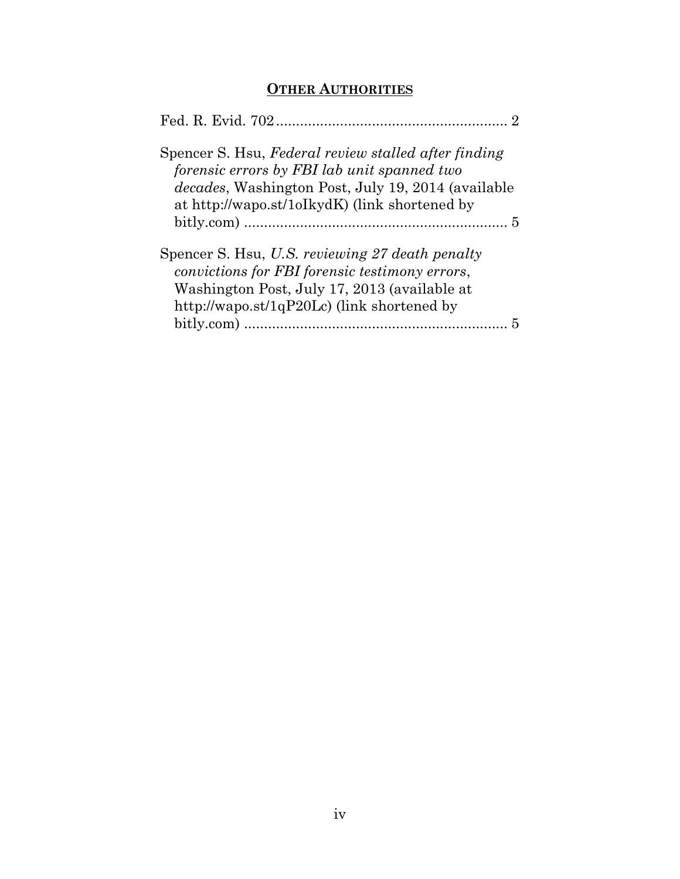## **OTHER AUTHORITIES**

| Spencer S. Hsu, Federal review stalled after finding<br>forensic errors by FBI lab unit spanned two<br><i>decades</i> , Washington Post, July 19, 2014 (available<br>at http://wapo.st/1oIkydK) (link shortened by |
|--------------------------------------------------------------------------------------------------------------------------------------------------------------------------------------------------------------------|
| Spencer S. Hsu, U.S. reviewing 27 death penalty<br>convictions for FBI forensic testimony errors,<br>Washington Post, July 17, 2013 (available at<br>http://wapo.st/1qP20Lc) (link shortened by                    |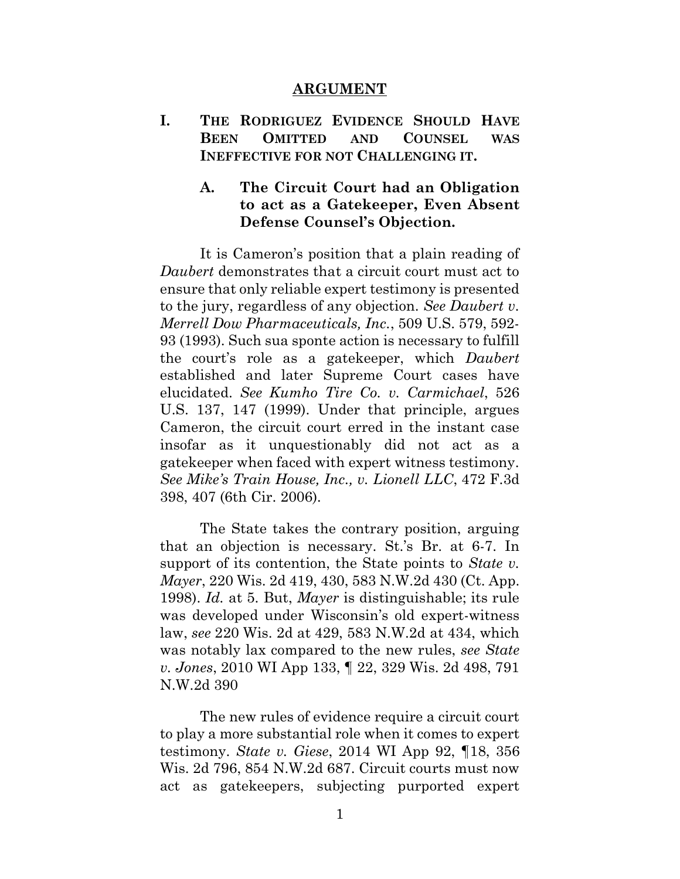#### **ARGUMENT**

<span id="page-6-1"></span><span id="page-6-0"></span>**I. THE RODRIGUEZ EVIDENCE SHOULD HAVE BEEN OMITTED AND COUNSEL WAS INEFFECTIVE FOR NOT CHALLENGING IT.**

### <span id="page-6-2"></span>**A. The Circuit Court had an Obligation to act as a Gatekeeper, Even Absent Defense Counsel's Objection.**

It is Cameron's position that a plain reading of *Daubert* demonstrates that a circuit court must act to ensure that only reliable expert testimony is presented to the jury, regardless of any objection. *See Daubert v. Merrell Dow Pharmaceuticals, Inc.*, 509 U.S. 579, 592- 93 (1993). Such sua sponte action is necessary to fulfill the court's role as a gatekeeper, which *Daubert*  established and later Supreme Court cases have elucidated. *See Kumho Tire Co. v. Carmichael*, 526 U.S. 137, 147 (1999). Under that principle, argues Cameron, the circuit court erred in the instant case insofar as it unquestionably did not act as a gatekeeper when faced with expert witness testimony. *See Mike's Train House, Inc., v. Lionell LLC*, 472 F.3d 398, 407 (6th Cir. 2006)*.*

The State takes the contrary position, arguing that an objection is necessary. St.'s Br. at 6-7. In support of its contention, the State points to *State v. Mayer*, 220 Wis. 2d 419, 430, 583 N.W.2d 430 (Ct. App. 1998). *Id.* at 5. But, *Mayer* is distinguishable; its rule was developed under Wisconsin's old expert-witness law, *see* 220 Wis. 2d at 429, 583 N.W.2d at 434, which was notably lax compared to the new rules, *see State v. Jones*, 2010 WI App 133, ¶ 22, 329 Wis. 2d 498, 791 N.W.2d 390

The new rules of evidence require a circuit court to play a more substantial role when it comes to expert testimony. *State v. Giese*, 2014 WI App 92, ¶18, 356 Wis. 2d 796, 854 N.W.2d 687. Circuit courts must now act as gatekeepers, subjecting purported expert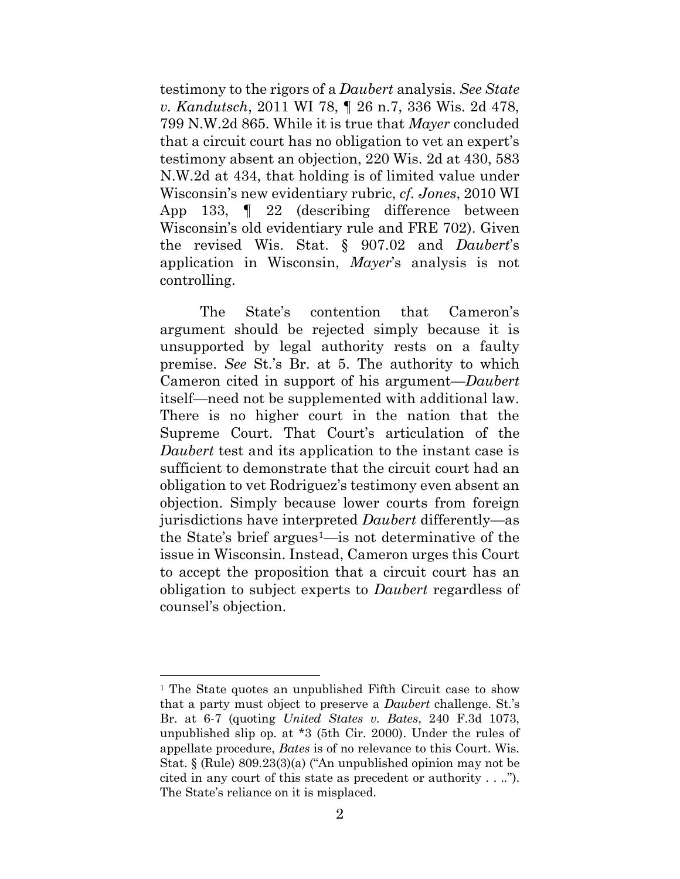testimony to the rigors of a *Daubert* analysis. *See State v. Kandutsch*, 2011 WI 78, ¶ 26 n.7, 336 Wis. 2d 478, 799 N.W.2d 865. While it is true that *Mayer* concluded that a circuit court has no obligation to vet an expert's testimony absent an objection, 220 Wis. 2d at 430, 583 N.W.2d at 434, that holding is of limited value under Wisconsin's new evidentiary rubric, *cf. Jones*, 2010 WI App 133, ¶ 22 (describing difference between Wisconsin's old evidentiary rule and FRE 702). Given the revised Wis. Stat. § 907.02 and *Daubert*'s application in Wisconsin, *Mayer*'s analysis is not controlling.

The State's contention that Cameron's argument should be rejected simply because it is unsupported by legal authority rests on a faulty premise. *See* St.'s Br. at 5. The authority to which Cameron cited in support of his argument—*Daubert*  itself—need not be supplemented with additional law. There is no higher court in the nation that the Supreme Court. That Court's articulation of the *Daubert* test and its application to the instant case is sufficient to demonstrate that the circuit court had an obligation to vet Rodriguez's testimony even absent an objection. Simply because lower courts from foreign jurisdictions have interpreted *Daubert* differently—as the State's brief argues<sup>1—is</sup> not determinative of the issue in Wisconsin. Instead, Cameron urges this Court to accept the proposition that a circuit court has an obligation to subject experts to *Daubert* regardless of counsel's objection.

<sup>&</sup>lt;sup>1</sup> The State quotes an unpublished Fifth Circuit case to show that a party must object to preserve a *Daubert* challenge. St.'s Br. at 6-7 (quoting *United States v. Bates*, 240 F.3d 1073, unpublished slip op. at \*3 (5th Cir. 2000). Under the rules of appellate procedure, *Bates* is of no relevance to this Court. Wis. Stat. § (Rule) 809.23(3)(a) ("An unpublished opinion may not be cited in any court of this state as precedent or authority . . .."). The State's reliance on it is misplaced.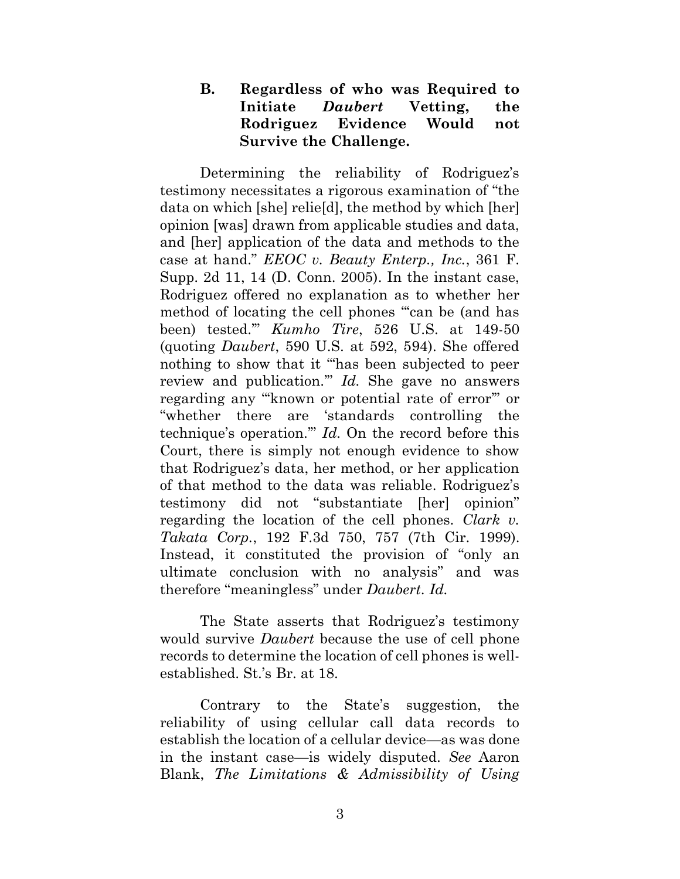## <span id="page-8-0"></span>**B. Regardless of who was Required to Initiate** *Daubert* **Vetting, the Rodriguez Evidence Would not Survive the Challenge.**

Determining the reliability of Rodriguez's testimony necessitates a rigorous examination of "the data on which [she] relie[d], the method by which [her] opinion [was] drawn from applicable studies and data, and [her] application of the data and methods to the case at hand." *EEOC v. Beauty Enterp., Inc.*, 361 F. Supp. 2d 11, 14 (D. Conn. 2005). In the instant case, Rodriguez offered no explanation as to whether her method of locating the cell phones "can be (and has been) tested.'" *Kumho Tire*, 526 U.S. at 149-50 (quoting *Daubert*, 590 U.S. at 592, 594). She offered nothing to show that it "'has been subjected to peer review and publication.'" *Id.* She gave no answers regarding any "'known or potential rate of error'" or "whether there are 'standards controlling the technique's operation.'" *Id.* On the record before this Court, there is simply not enough evidence to show that Rodriguez's data, her method, or her application of that method to the data was reliable. Rodriguez's testimony did not "substantiate [her] opinion" regarding the location of the cell phones. *Clark v. Takata Corp.*, 192 F.3d 750, 757 (7th Cir. 1999). Instead, it constituted the provision of "only an ultimate conclusion with no analysis" and was therefore "meaningless" under *Daubert*. *Id.*

The State asserts that Rodriguez's testimony would survive *Daubert* because the use of cell phone records to determine the location of cell phones is wellestablished. St.'s Br. at 18.

Contrary to the State's suggestion, the reliability of using cellular call data records to establish the location of a cellular device—as was done in the instant case—is widely disputed. *See* Aaron Blank, *The Limitations & Admissibility of Using*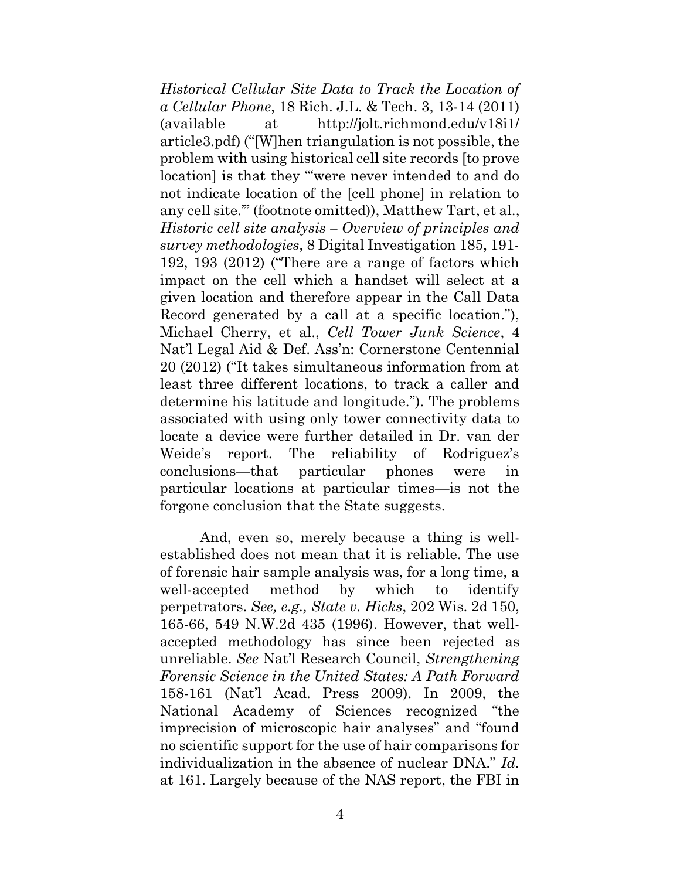*Historical Cellular Site Data to Track the Location of a Cellular Phone*, 18 Rich. J.L. & Tech. 3, 13-14 (2011) (available at http://jolt.richmond.edu/v18i1/ article3.pdf) ("[W]hen triangulation is not possible, the problem with using historical cell site records [to prove location] is that they "'were never intended to and do not indicate location of the [cell phone] in relation to any cell site.'" (footnote omitted)), Matthew Tart, et al., *Historic cell site analysis – Overview of principles and survey methodologies*, 8 Digital Investigation 185, 191- 192, 193 (2012) ("There are a range of factors which impact on the cell which a handset will select at a given location and therefore appear in the Call Data Record generated by a call at a specific location."), Michael Cherry, et al., *Cell Tower Junk Science*, 4 Nat'l Legal Aid & Def. Ass'n: Cornerstone Centennial 20 (2012) ("It takes simultaneous information from at least three different locations, to track a caller and determine his latitude and longitude."). The problems associated with using only tower connectivity data to locate a device were further detailed in Dr. van der Weide's report. The reliability of Rodriguez's conclusions—that particular phones were in particular locations at particular times—is not the forgone conclusion that the State suggests.

And, even so, merely because a thing is wellestablished does not mean that it is reliable. The use of forensic hair sample analysis was, for a long time, a well-accepted method by which to identify perpetrators. *See, e.g., State v. Hicks*, 202 Wis. 2d 150, 165-66, 549 N.W.2d 435 (1996). However, that wellaccepted methodology has since been rejected as unreliable. *See* Nat'l Research Council, *Strengthening Forensic Science in the United States: A Path Forward* 158-161 (Nat'l Acad. Press 2009). In 2009, the National Academy of Sciences recognized "the imprecision of microscopic hair analyses" and "found no scientific support for the use of hair comparisons for individualization in the absence of nuclear DNA." *Id.*  at 161. Largely because of the NAS report, the FBI in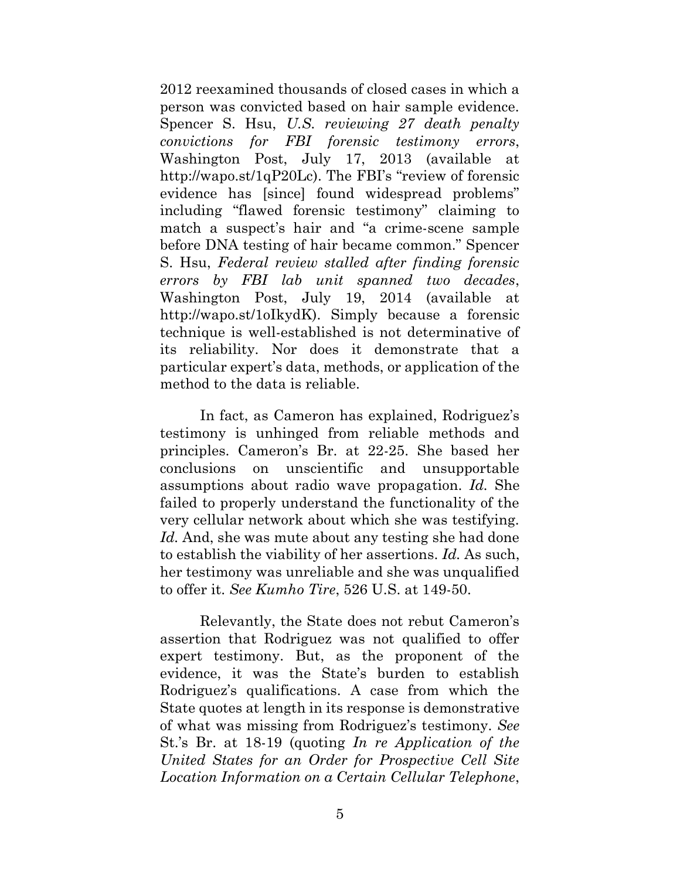2012 reexamined thousands of closed cases in which a person was convicted based on hair sample evidence. Spencer S. Hsu, *U.S. reviewing 27 death penalty convictions for FBI forensic testimony errors*, Washington Post, July 17, 2013 (available at http://wapo.st/1qP20Lc). The FBI's "review of forensic evidence has [since] found widespread problems" including "flawed forensic testimony" claiming to match a suspect's hair and "a crime-scene sample before DNA testing of hair became common." Spencer S. Hsu, *Federal review stalled after finding forensic errors by FBI lab unit spanned two decades*, Washington Post, July 19, 2014 (available at http://wapo.st/1oIkydK). Simply because a forensic technique is well-established is not determinative of its reliability. Nor does it demonstrate that a particular expert's data, methods, or application of the method to the data is reliable.

In fact, as Cameron has explained, Rodriguez's testimony is unhinged from reliable methods and principles. Cameron's Br. at 22-25. She based her conclusions on unscientific and unsupportable assumptions about radio wave propagation. *Id.* She failed to properly understand the functionality of the very cellular network about which she was testifying. Id. And, she was mute about any testing she had done to establish the viability of her assertions. *Id.* As such, her testimony was unreliable and she was unqualified to offer it. *See Kumho Tire*, 526 U.S. at 149-50.

Relevantly, the State does not rebut Cameron's assertion that Rodriguez was not qualified to offer expert testimony. But, as the proponent of the evidence, it was the State's burden to establish Rodriguez's qualifications. A case from which the State quotes at length in its response is demonstrative of what was missing from Rodriguez's testimony. *See*  St.'s Br. at 18-19 (quoting *In re Application of the United States for an Order for Prospective Cell Site Location Information on a Certain Cellular Telephone*,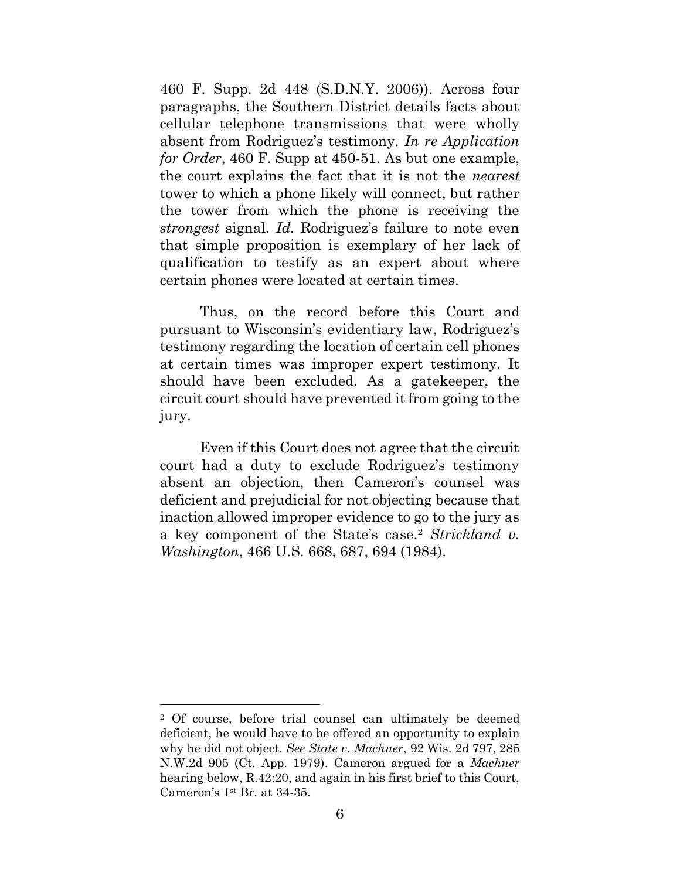460 F. Supp. 2d 448 (S.D.N.Y. 2006)). Across four paragraphs, the Southern District details facts about cellular telephone transmissions that were wholly absent from Rodriguez's testimony. *In re Application for Order*, 460 F. Supp at 450-51. As but one example, the court explains the fact that it is not the *nearest* tower to which a phone likely will connect, but rather the tower from which the phone is receiving the *strongest* signal. *Id.* Rodriguez's failure to note even that simple proposition is exemplary of her lack of qualification to testify as an expert about where certain phones were located at certain times.

Thus, on the record before this Court and pursuant to Wisconsin's evidentiary law, Rodriguez's testimony regarding the location of certain cell phones at certain times was improper expert testimony. It should have been excluded. As a gatekeeper, the circuit court should have prevented it from going to the jury.

Even if this Court does not agree that the circuit court had a duty to exclude Rodriguez's testimony absent an objection, then Cameron's counsel was deficient and prejudicial for not objecting because that inaction allowed improper evidence to go to the jury as a key component of the State's case. <sup>2</sup> *Strickland v. Washington*, 466 U.S. 668, 687, 694 (1984).

<sup>2</sup> Of course, before trial counsel can ultimately be deemed deficient, he would have to be offered an opportunity to explain why he did not object. *See State v. Machner*, 92 Wis. 2d 797, 285 N.W.2d 905 (Ct. App. 1979). Cameron argued for a *Machner* hearing below, R.42:20, and again in his first brief to this Court, Cameron's 1st Br. at 34-35.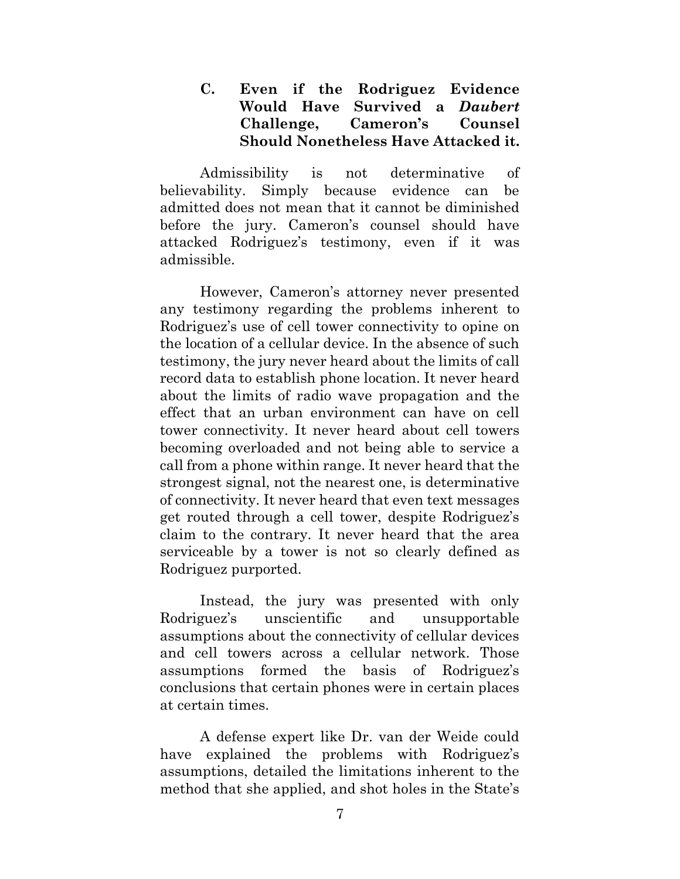<span id="page-12-0"></span>**C. Even if the Rodriguez Evidence Would Have Survived a** *Daubert*  **Challenge, Cameron's Counsel Should Nonetheless Have Attacked it.** 

Admissibility is not determinative of believability. Simply because evidence can be admitted does not mean that it cannot be diminished before the jury. Cameron's counsel should have attacked Rodriguez's testimony, even if it was admissible.

However, Cameron's attorney never presented any testimony regarding the problems inherent to Rodriguez's use of cell tower connectivity to opine on the location of a cellular device. In the absence of such testimony, the jury never heard about the limits of call record data to establish phone location. It never heard about the limits of radio wave propagation and the effect that an urban environment can have on cell tower connectivity. It never heard about cell towers becoming overloaded and not being able to service a call from a phone within range. It never heard that the strongest signal, not the nearest one, is determinative of connectivity. It never heard that even text messages get routed through a cell tower, despite Rodriguez's claim to the contrary. It never heard that the area serviceable by a tower is not so clearly defined as Rodriguez purported.

Instead, the jury was presented with only Rodriguez's unscientific and unsupportable assumptions about the connectivity of cellular devices and cell towers across a cellular network. Those assumptions formed the basis of Rodriguez's conclusions that certain phones were in certain places at certain times.

A defense expert like Dr. van der Weide could have explained the problems with Rodriguez's assumptions, detailed the limitations inherent to the method that she applied, and shot holes in the State's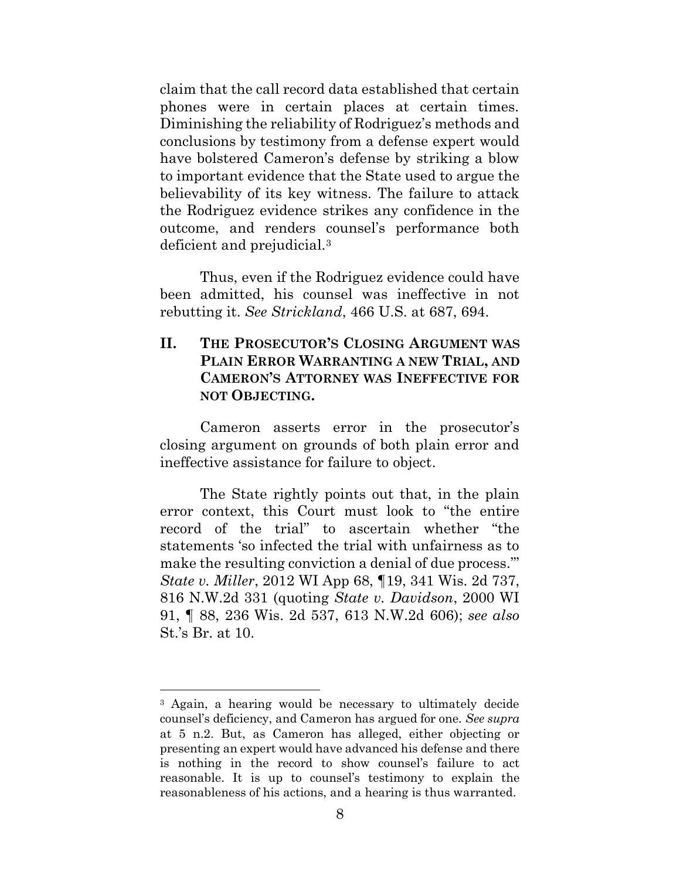claim that the call record data established that certain phones were in certain places at certain times. Diminishing the reliability of Rodriguez's methods and conclusions by testimony from a defense expert would have bolstered Cameron's defense by striking a blow to important evidence that the State used to argue the believability of its key witness. The failure to attack the Rodriguez evidence strikes any confidence in the outcome, and renders counsel's performance both deficient and prejudicial.<sup>3</sup>

Thus, even if the Rodriguez evidence could have been admitted, his counsel was ineffective in not rebutting it. *See Strickland*, 466 U.S. at 687, 694.

## <span id="page-13-0"></span>**II. THE PROSECUTOR'S CLOSING ARGUMENT WAS PLAIN ERROR WARRANTING A NEW TRIAL, AND CAMERON'S ATTORNEY WAS INEFFECTIVE FOR NOT OBJECTING.**

Cameron asserts error in the prosecutor's closing argument on grounds of both plain error and ineffective assistance for failure to object.

The State rightly points out that, in the plain error context, this Court must look to "the entire record of the trial" to ascertain whether "the statements 'so infected the trial with unfairness as to make the resulting conviction a denial of due process.'" *State v. Miller*, 2012 WI App 68, ¶19, 341 Wis. 2d 737, 816 N.W.2d 331 (quoting *State v. Davidson*, 2000 WI 91, ¶ 88, 236 Wis. 2d 537, 613 N.W.2d 606); *see also*  St.'s Br. at 10.

<sup>3</sup> Again, a hearing would be necessary to ultimately decide counsel's deficiency, and Cameron has argued for one. *See supra*  at 5 n.2. But, as Cameron has alleged, either objecting or presenting an expert would have advanced his defense and there is nothing in the record to show counsel's failure to act reasonable. It is up to counsel's testimony to explain the reasonableness of his actions, and a hearing is thus warranted.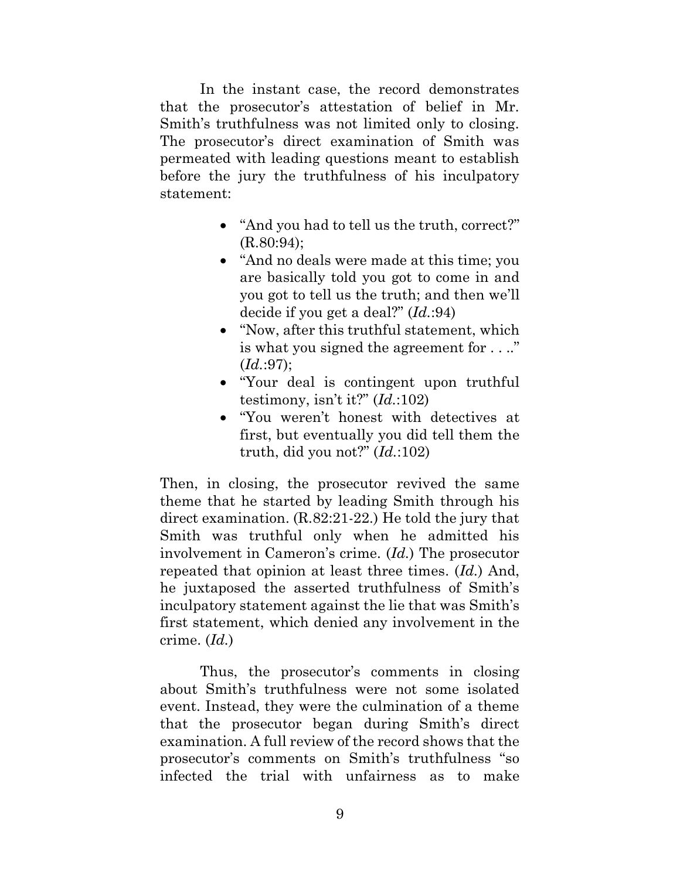In the instant case, the record demonstrates that the prosecutor's attestation of belief in Mr. Smith's truthfulness was not limited only to closing. The prosecutor's direct examination of Smith was permeated with leading questions meant to establish before the jury the truthfulness of his inculpatory statement:

- "And you had to tell us the truth, correct?" (R.80:94);
- "And no deals were made at this time; you are basically told you got to come in and you got to tell us the truth; and then we'll decide if you get a deal?" (*Id.*:94)
- "Now, after this truthful statement, which is what you signed the agreement for . . .." (*Id.*:97);
- "Your deal is contingent upon truthful testimony, isn't it?" (*Id.*:102)
- "You weren't honest with detectives at first, but eventually you did tell them the truth, did you not?" (*Id.*:102)

Then, in closing, the prosecutor revived the same theme that he started by leading Smith through his direct examination. (R.82:21-22.) He told the jury that Smith was truthful only when he admitted his involvement in Cameron's crime. (*Id.*) The prosecutor repeated that opinion at least three times. (*Id.*) And, he juxtaposed the asserted truthfulness of Smith's inculpatory statement against the lie that was Smith's first statement, which denied any involvement in the crime. (*Id.*)

Thus, the prosecutor's comments in closing about Smith's truthfulness were not some isolated event. Instead, they were the culmination of a theme that the prosecutor began during Smith's direct examination. A full review of the record shows that the prosecutor's comments on Smith's truthfulness "so infected the trial with unfairness as to make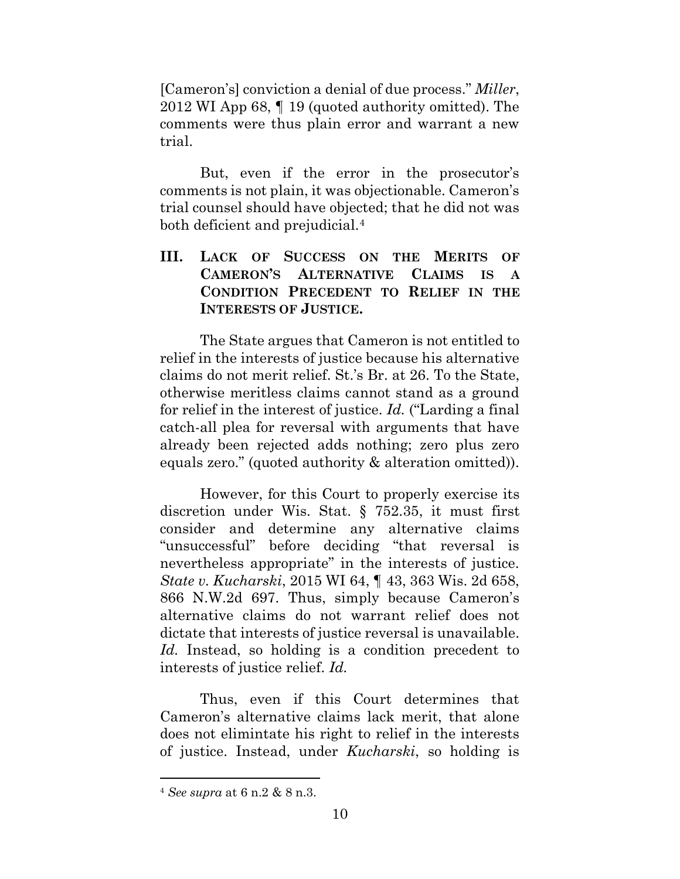[Cameron's] conviction a denial of due process." *Miller*, 2012 WI App 68, ¶ 19 (quoted authority omitted). The comments were thus plain error and warrant a new trial.

But, even if the error in the prosecutor's comments is not plain, it was objectionable. Cameron's trial counsel should have objected; that he did not was both deficient and prejudicial.<sup>4</sup>

## <span id="page-15-0"></span>**III. LACK OF SUCCESS ON THE MERITS OF CAMERON'S ALTERNATIVE CLAIMS IS A CONDITION PRECEDENT TO RELIEF IN THE INTERESTS OF JUSTICE.**

The State argues that Cameron is not entitled to relief in the interests of justice because his alternative claims do not merit relief. St.'s Br. at 26. To the State, otherwise meritless claims cannot stand as a ground for relief in the interest of justice. *Id.* ("Larding a final catch-all plea for reversal with arguments that have already been rejected adds nothing; zero plus zero equals zero." (quoted authority & alteration omitted)).

However, for this Court to properly exercise its discretion under Wis. Stat. § 752.35, it must first consider and determine any alternative claims "unsuccessful" before deciding "that reversal is nevertheless appropriate" in the interests of justice. *State v. Kucharski*, 2015 WI 64, ¶ 43, 363 Wis. 2d 658, 866 N.W.2d 697. Thus, simply because Cameron's alternative claims do not warrant relief does not dictate that interests of justice reversal is unavailable. Id. Instead, so holding is a condition precedent to interests of justice relief. *Id.*

Thus, even if this Court determines that Cameron's alternative claims lack merit, that alone does not elimintate his right to relief in the interests of justice. Instead, under *Kucharski*, so holding is

<sup>4</sup> *See supra* at 6 n.2 & 8 n.3.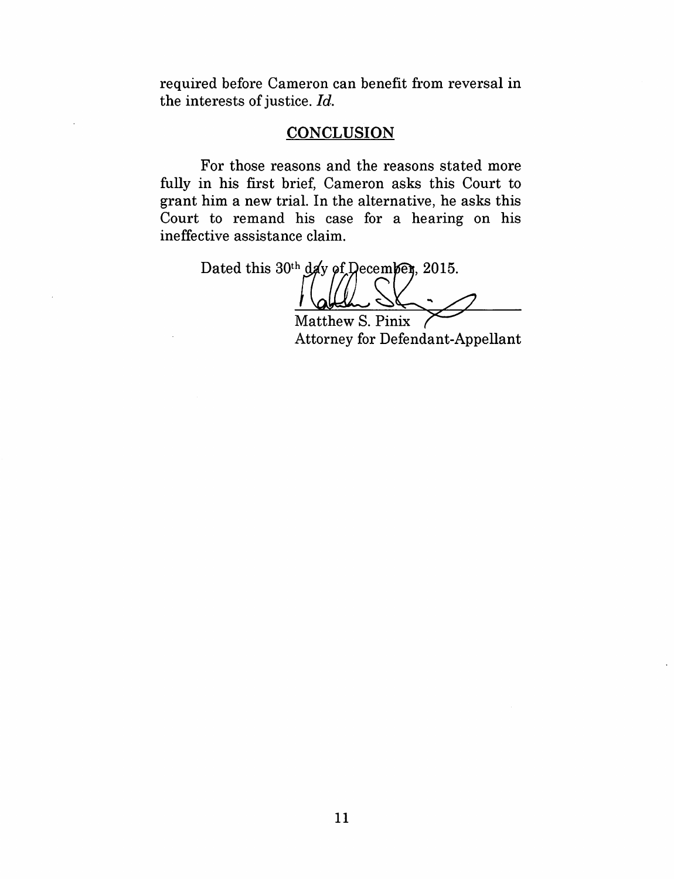required before Cameron can benefit from reversal in the interests of justice. *Id.* 

### **CONCLUSION**

For those reasons and the reasons stated more fully in his first brief, Cameron asks this Court to grant him a new trial. In the alternative, he asks this Court to remand his case for a hearing on his ineffective assistance claim.

Dated this 30th day of December, 2015.

Matthew S. Pinix Attorney for Defendant-Appellant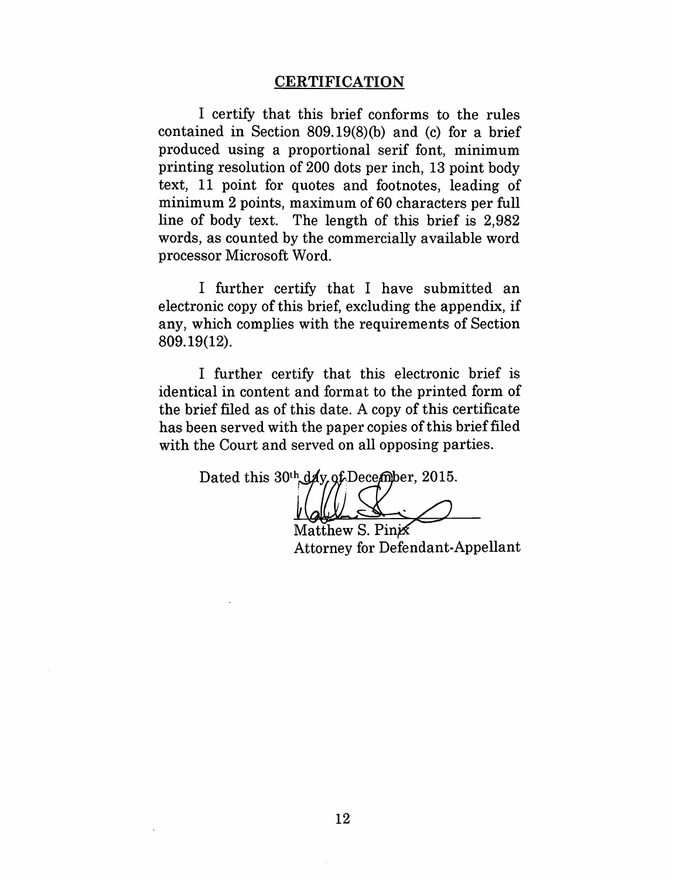#### **CERTIFICATION**

I certify that this brief conforms to the rules contained in Section 809.19(8)(b) and (c) for a brief produced using a proportional serif font, minimum printing resolution of 200 dots per inch, 13 point body text, 11 point for quotes and footnotes, leading of minimum 2 points, maximum of 60 characters per full line of body text. The length of this brief is 2, 982 words, as counted by the commercially available word processor Microsoft Word.

I further certify that I have submitted an electronic copy of this brief, excluding the appendix, if any, which complies with the requirements of Section 809.19(12).

I further certify that this electronic brief is identical in content and format to the printed form of the brief filed as of this date. A copy of this certificate has been served with the paper copies of this brief filed with the Court and served on all opposing parties.

Dated this 30th day of December, 2015.

Matthew S. Pinix Attorney for Defendant-Appellant